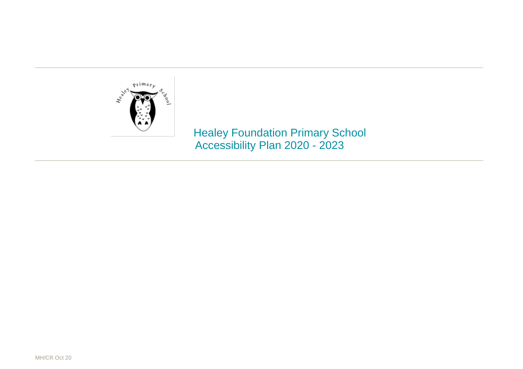

 Healey Foundation Primary School Accessibility Plan 2020 - 2023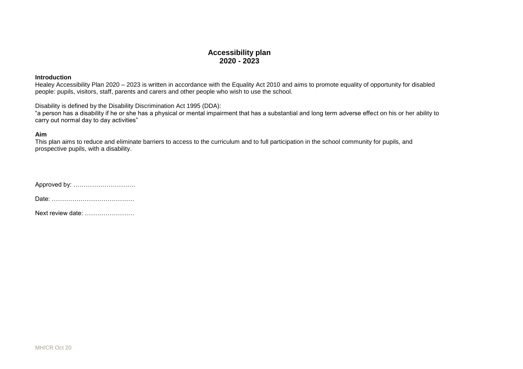## **Accessibility plan 2020 - 2023**

## **Introduction**

Healey Accessibility Plan 2020 – 2023 is written in accordance with the Equality Act 2010 and aims to promote equality of opportunity for disabled people: pupils, visitors, staff, parents and carers and other people who wish to use the school.

Disability is defined by the Disability Discrimination Act 1995 (DDA):

"a person has a disability if he or she has a physical or mental impairment that has a substantial and long term adverse effect on his or her ability to carry out normal day to day activities"

## **Aim**

This plan aims to reduce and eliminate barriers to access to the curriculum and to full participation in the school community for pupils, and prospective pupils, with a disability.

Approved by: …………………………

Date: ………………………………….

Next review date: ……………………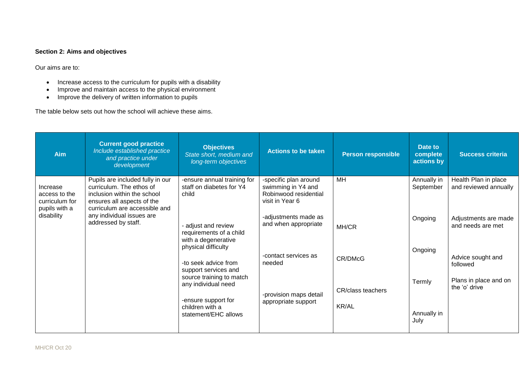## **Section 2: Aims and objectives**

Our aims are to:

- Increase access to the curriculum for pupils with a disability
- Improve and maintain access to the physical environment
- Improve the delivery of written information to pupils

The table below sets out how the school will achieve these aims.

| <b>Aim</b>                                                   | <b>Current good practice</b><br>Include established practice<br>and practice under<br>development                                                                                                              | <b>Objectives</b><br>State short, medium and<br>long-term objectives                                                                                                                                                                                            | <b>Actions to be taken</b>                                                                          | <b>Person responsible</b> | Date to<br>complete<br>actions by        | <b>Success criteria</b>                                                 |
|--------------------------------------------------------------|----------------------------------------------------------------------------------------------------------------------------------------------------------------------------------------------------------------|-----------------------------------------------------------------------------------------------------------------------------------------------------------------------------------------------------------------------------------------------------------------|-----------------------------------------------------------------------------------------------------|---------------------------|------------------------------------------|-------------------------------------------------------------------------|
| Increase<br>access to the<br>curriculum for<br>pupils with a | Pupils are included fully in our<br>curriculum. The ethos of<br>inclusion within the school<br>ensures all aspects of the<br>curriculum are accessible and<br>any individual issues are<br>addressed by staff. | -ensure annual training for<br>staff on diabetes for Y4<br>child                                                                                                                                                                                                | -specific plan around<br>swimming in Y4 and<br>Robinwood residential<br>visit in Year 6             | MH                        | Annually in<br>September                 | Health Plan in place<br>and reviewed annually                           |
| disability                                                   |                                                                                                                                                                                                                | adjust and review<br>requirements of a child<br>with a degenerative<br>physical difficulty<br>-to seek advice from<br>support services and<br>source training to match<br>any individual need<br>-ensure support for<br>children with a<br>statement/EHC allows | -adjustments made as<br>and when appropriate                                                        | MH/CR                     | Ongoing                                  | Adjustments are made<br>and needs are met                               |
|                                                              |                                                                                                                                                                                                                |                                                                                                                                                                                                                                                                 | -contact services as<br>CR/DMcG<br>needed<br>-provision maps detail<br>appropriate support<br>KR/AL |                           | Ongoing<br>Termly<br>Annually in<br>July | Advice sought and<br>followed<br>Plans in place and on<br>the 'o' drive |
|                                                              |                                                                                                                                                                                                                |                                                                                                                                                                                                                                                                 |                                                                                                     | CR/class teachers         |                                          |                                                                         |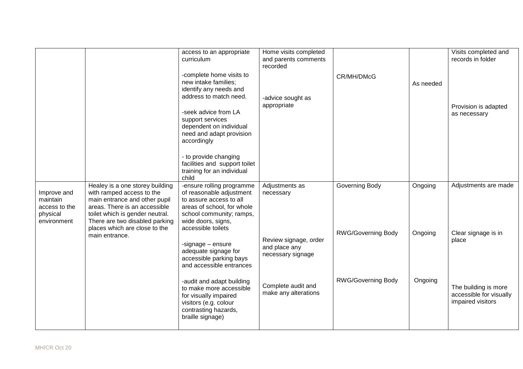|                                                                     |                                                                                                                                                                                                                                      | access to an appropriate<br>curriculum<br>-complete home visits to<br>new intake families;<br>identify any needs and<br>address to match need.<br>-seek advice from LA<br>support services<br>dependent on individual<br>need and adapt provision<br>accordingly<br>- to provide changing<br>facilities and support toilet<br>training for an individual<br>child | Home visits completed<br>and parents comments<br>recorded<br>-advice sought as<br>appropriate | CR/MH/DMcG                | As needed | Visits completed and<br>records in folder<br>Provision is adapted<br>as necessary |
|---------------------------------------------------------------------|--------------------------------------------------------------------------------------------------------------------------------------------------------------------------------------------------------------------------------------|-------------------------------------------------------------------------------------------------------------------------------------------------------------------------------------------------------------------------------------------------------------------------------------------------------------------------------------------------------------------|-----------------------------------------------------------------------------------------------|---------------------------|-----------|-----------------------------------------------------------------------------------|
| Improve and<br>maintain<br>access to the<br>physical<br>environment | Healey is a one storey building<br>with ramped access to the<br>main entrance and other pupil<br>areas. There is an accessible<br>toilet which is gender neutral.<br>There are two disabled parking<br>places which are close to the | -ensure rolling programme<br>of reasonable adjustment<br>to assure access to all<br>areas of school, for whole<br>school community; ramps,<br>wide doors, signs,<br>accessible toilets                                                                                                                                                                            | Adjustments as<br>necessary                                                                   | Governing Body            | Ongoing   | Adjustments are made                                                              |
|                                                                     | main entrance.                                                                                                                                                                                                                       | -signage - ensure<br>adequate signage for<br>accessible parking bays<br>and accessible entrances                                                                                                                                                                                                                                                                  | Review signage, order<br>and place any<br>necessary signage                                   | <b>RWG/Governing Body</b> | Ongoing   | Clear signage is in<br>place                                                      |
|                                                                     |                                                                                                                                                                                                                                      | -audit and adapt building<br>to make more accessible<br>for visually impaired<br>visitors (e.g. colour<br>contrasting hazards,<br>braille signage)                                                                                                                                                                                                                | Complete audit and<br>make any alterations                                                    | <b>RWG/Governing Body</b> | Ongoing   | The building is more<br>accessible for visually<br>impaired visitors              |